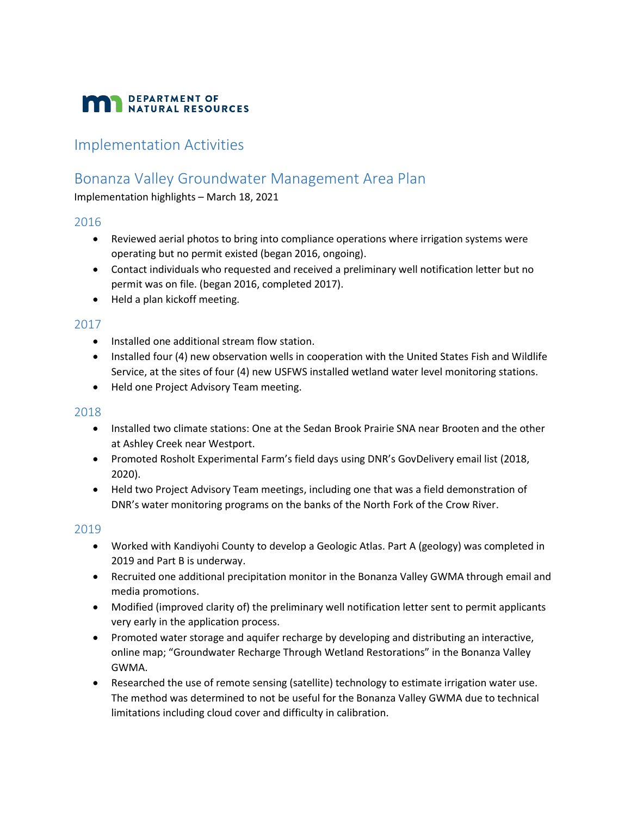# **MAN** DEPARTMENT OF NATURAL RESOURCES

## Implementation Activities

### Bonanza Valley Groundwater Management Area Plan

Implementation highlights – March 18, 2021

#### 2016

- Reviewed aerial photos to bring into compliance operations where irrigation systems were operating but no permit existed (began 2016, ongoing).
- Contact individuals who requested and received a preliminary well notification letter but no permit was on file. (began 2016, completed 2017).
- Held a plan kickoff meeting.

#### 2017

- Installed one additional stream flow station.
- Installed four (4) new observation wells in cooperation with the United States Fish and Wildlife Service, at the sites of four (4) new USFWS installed wetland water level monitoring stations.
- Held one Project Advisory Team meeting.

#### 2018

- Installed two climate stations: One at the Sedan Brook Prairie SNA near Brooten and the other at Ashley Creek near Westport.
- Promoted Rosholt Experimental Farm's field days using DNR's GovDelivery email list (2018, 2020).
- Held two Project Advisory Team meetings, including one that was a field demonstration of DNR's water monitoring programs on the banks of the North Fork of the Crow River.

#### 2019

- Worked with Kandiyohi County to develop a Geologic Atlas. Part A (geology) was completed in 2019 and Part B is underway.
- Recruited one additional precipitation monitor in the Bonanza Valley GWMA through email and media promotions.
- Modified (improved clarity of) the preliminary well notification letter sent to permit applicants very early in the application process.
- Promoted water storage and aquifer recharge by developing and distributing an interactive, online map; "Groundwater Recharge Through Wetland Restorations" in the Bonanza Valley GWMA.
- Researched the use of remote sensing (satellite) technology to estimate irrigation water use. The method was determined to not be useful for the Bonanza Valley GWMA due to technical limitations including cloud cover and difficulty in calibration.